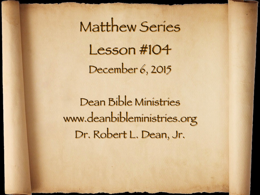Matthew Series Lesson #104 December 6, 2015

Dean Bible Ministries [www.deanbibleministries.org](http://www.deanbible.org) Dr. Robert L. Dean, Jr.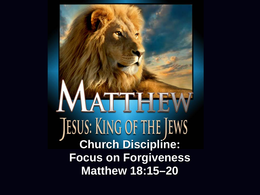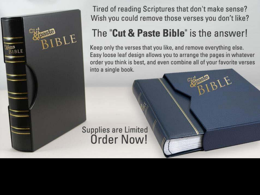

Tired of reading Scriptures that don't make sense? Wish you could remove those verses you don't like?

## The "Cut & Paste Bible" is the answer!

Keep only the verses that you like, and remove everything else. Easy loose leaf design allows you to arrange the pages in whatever order you think is best, and even combine all of your favorite verses into a single book.

**Supplies are Limited Order Now!**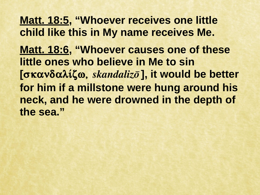**Matt. 18:5, "Whoever receives one little child like this in My name receives Me. Matt. 18:6, "Whoever causes one of these little ones who believe in Me to sin**  [σκανδαλίζω, *skandalizo*], it would be better **for him if a millstone were hung around his neck, and he were drowned in the depth of the sea."**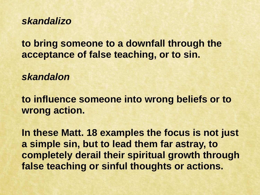*skandalizo*

**to bring someone to a downfall through the acceptance of false teaching, or to sin.**

*skandalon*

**to influence someone into wrong beliefs or to wrong action.**

**In these Matt. 18 examples the focus is not just a simple sin, but to lead them far astray, to completely derail their spiritual growth through false teaching or sinful thoughts or actions.**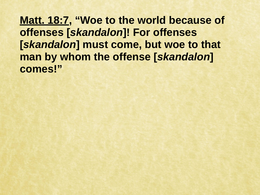**Matt. 18:7, "Woe to the world because of offenses [***skandalon***]! For offenses [***skandalon***] must come, but woe to that man by whom the offense [***skandalon***] comes!"**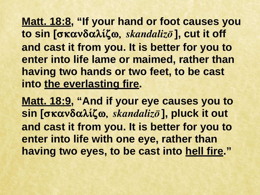**Matt. 18:8, "If your hand or foot causes you**  to sin [σκανδαλίζω, *skandalizo*], cut it off **and cast it from you. It is better for you to enter into life lame or maimed, rather than having two hands or two feet, to be cast into the everlasting fire.** 

**Matt. 18:9, "And if your eye causes you to**  sin [σκανδαλίζω, *skandalizo*], pluck it out **and cast it from you. It is better for you to enter into life with one eye, rather than having two eyes, to be cast into hell fire. "**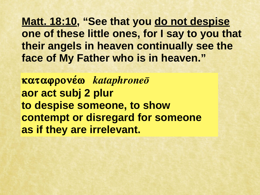**Matt. 18:10, "See that you do not despise one of these little ones, for I say to you that their angels in heaven continually see the face of My Father who is in heaven."**

**καταφρονέω** *kataphroneō* **aor act subj 2 plur to despise someone, to show contempt or disregard for someone as if they are irrelevant.**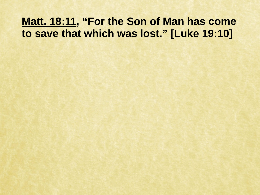## **Matt. 18:11, "For the Son of Man has come to save that which was lost." [Luke 19:10]**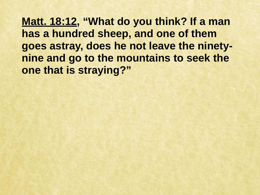**Matt. 18:12, "What do you think? If a man has a hundred sheep, and one of them goes astray, does he not leave the ninetynine and go to the mountains to seek the one that is straying?"**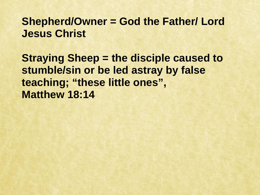## **Shepherd/Owner = God the Father/ Lord Jesus Christ**

**Straying Sheep = the disciple caused to stumble/sin or be led astray by false teaching; "these little ones", Matthew 18:14**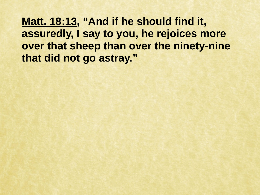**Matt. 18:13, "And if he should find it, assuredly, I say to you, he rejoices more over that sheep than over the ninety-nine that did not go astray."**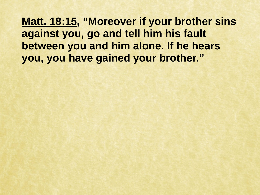**Matt. 18:15, "Moreover if your brother sins against you, go and tell him his fault between you and him alone. If he hears you, you have gained your brother."**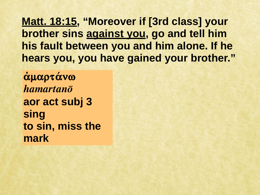**Matt. 18:15, "Moreover if [3rd class] your brother sins against you, go and tell him his fault between you and him alone. If he hears you, you have gained your brother."**

**αμαρτάνω**  $h$ amartan $\bar{o}$ **aor act subj 3 sing to sin, miss the mark**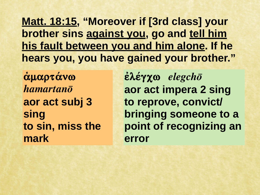**Matt. 18:15, "Moreover if [3rd class] your brother sins against you, go and tell him his fault between you and him alone. If he hears you, you have gained your brother."**

**αμαρτάνω**  $h$ amartan $\bar{o}$ **aor act subj 3 sing to sin, miss the mark**

 $\epsilon$ λέγχω elegchō **aor act impera 2 sing to reprove, convict/ bringing someone to a point of recognizing an error**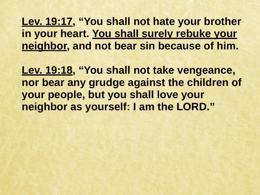**Lev. 19:17, "You shall not hate your brother in your heart. You shall surely rebuke your neighbor, and not bear sin because of him.**

**Lev. 19:18, "You shall not take vengeance, nor bear any grudge against the children of your people, but you shall love your neighbor as yourself: I am the LORD."**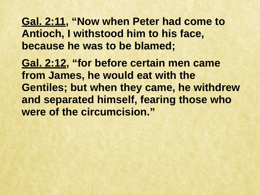**Gal. 2:11, "Now when Peter had come to Antioch, I withstood him to his face, because he was to be blamed;** 

**Gal. 2:12, "for before certain men came from James, he would eat with the Gentiles; but when they came, he withdrew and separated himself, fearing those who were of the circumcision."**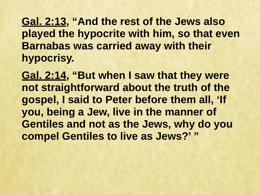**Gal. 2:13, "And the rest of the Jews also played the hypocrite with him, so that even Barnabas was carried away with their hypocrisy.** 

**Gal. 2:14, "But when I saw that they were not straightforward about the truth of the gospel, I said to Peter before them all, 'If you, being a Jew, live in the manner of Gentiles and not as the Jews, why do you compel Gentiles to live as Jews?' "**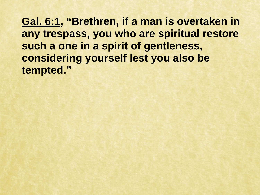**Gal. 6:1, "Brethren, if a man is overtaken in any trespass, you who are spiritual restore such a one in a spirit of gentleness, considering yourself lest you also be tempted."**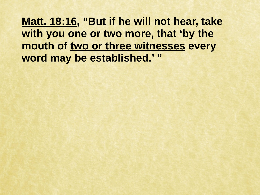**Matt. 18:16, "But if he will not hear, take with you one or two more, that 'by the mouth of two or three witnesses every word may be established.' "**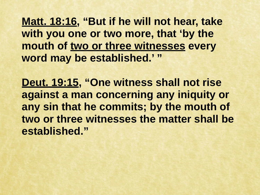**Matt. 18:16, "But if he will not hear, take with you one or two more, that 'by the mouth of two or three witnesses every word may be established.' "**

**Deut. 19:15, "One witness shall not rise against a man concerning any iniquity or any sin that he commits; by the mouth of two or three witnesses the matter shall be established."**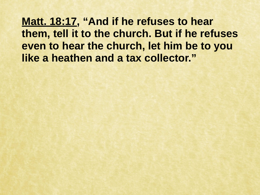**Matt. 18:17, "And if he refuses to hear them, tell it to the church. But if he refuses even to hear the church, let him be to you like a heathen and a tax collector."**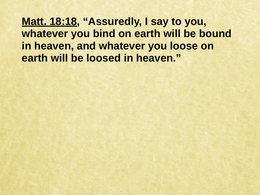**Matt. 18:18, "Assuredly, I say to you, whatever you bind on earth will be bound in heaven, and whatever you loose on earth will be loosed in heaven."**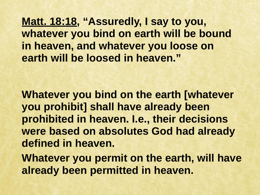**Matt. 18:18, "Assuredly, I say to you, whatever you bind on earth will be bound in heaven, and whatever you loose on earth will be loosed in heaven."**

**Whatever you bind on the earth [whatever you prohibit] shall have already been prohibited in heaven. I.e., their decisions were based on absolutes God had already defined in heaven.**

**Whatever you permit on the earth, will have already been permitted in heaven.**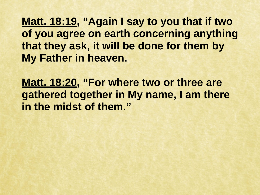**Matt. 18:19, "Again I say to you that if two of you agree on earth concerning anything that they ask, it will be done for them by My Father in heaven.**

**Matt. 18:20, "For where two or three are gathered together in My name, I am there in the midst of them."**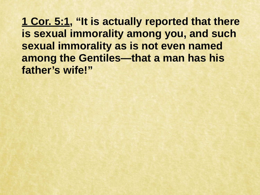**1 Cor. 5:1, "It is actually reported that there is sexual immorality among you, and such sexual immorality as is not even named among the Gentiles—that a man has his father's wife!"**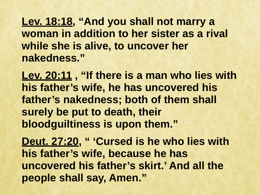**Lev. 18:18, "And you shall not marry a woman in addition to her sister as a rival while she is alive, to uncover her nakedness."**

**Lev. 20:11 , "If there is a man who lies with his father's wife, he has uncovered his father's nakedness; both of them shall surely be put to death, their bloodguiltiness is upon them."**

Deut. 27:20, " 'Cursed is he who lies with **his father's wife, because he has uncovered his father's skirt.' And all the people shall say, Amen."**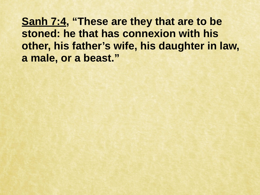**Sanh 7:4, "These are they that are to be stoned: he that has connexion with his other, his father's wife, his daughter in law, a male, or a beast."**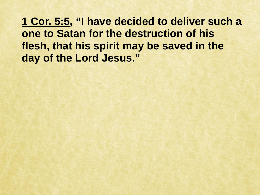**1 Cor. 5:5, "I have decided to deliver such a one to Satan for the destruction of his flesh, that his spirit may be saved in the day of the Lord Jesus."**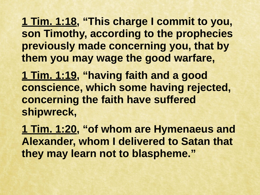**1 Tim. 1:18, "This charge I commit to you, son Timothy, according to the prophecies previously made concerning you, that by them you may wage the good warfare,** 

**1 Tim. 1:19, "having faith and a good conscience, which some having rejected, concerning the faith have suffered shipwreck,** 

**1 Tim. 1:20, "of whom are Hymenaeus and Alexander, whom I delivered to Satan that they may learn not to blaspheme."**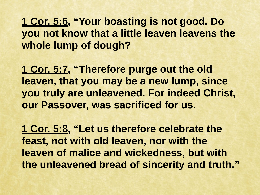**1 Cor. 5:6, "Your boasting is not good. Do you not know that a little leaven leavens the whole lump of dough?** 

**1 Cor. 5:7, "Therefore purge out the old leaven, that you may be a new lump, since you truly are unleavened. For indeed Christ, our Passover, was sacrificed for us.**

**1 Cor. 5:8, "Let us therefore celebrate the feast, not with old leaven, nor with the leaven of malice and wickedness, but with the unleavened bread of sincerity and truth."**